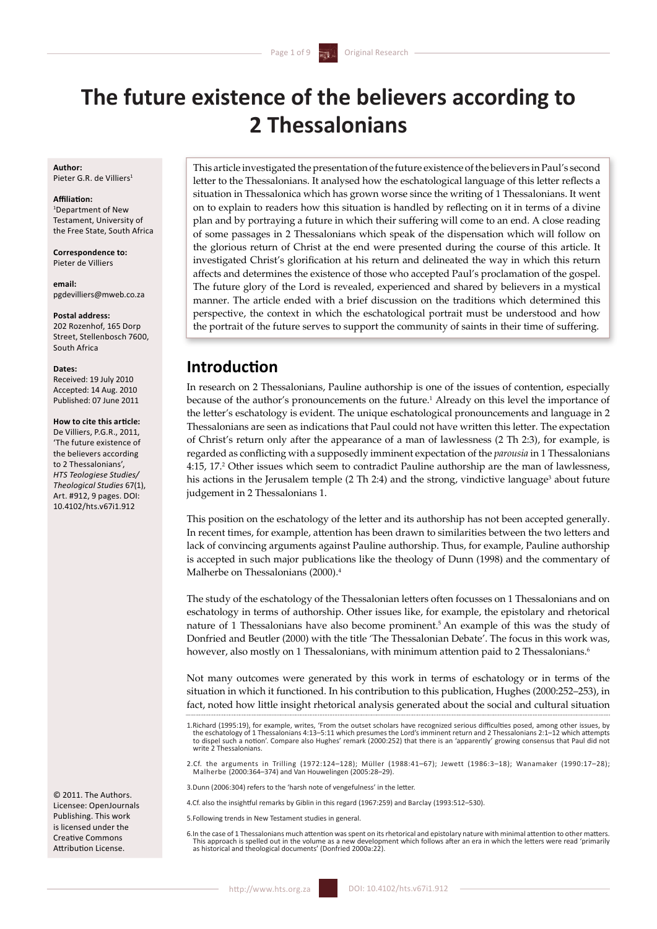# **The future existence of the believers according to 2 Thessalonians**

### **Author:**  Pieter G.R. de Villiers

### **Affiliation:**

1 Department of New Testament, University of the Free State, South Africa

**Correspondence to:**  Pieter de Villiers

**email:** pgdevilliers@mweb.co.za

#### **Postal address:**

202 Rozenhof, 165 Dorn Street, Stellenbosch 7600, South Africa

### **Dates:**

Received: 19 July 2010 Accepted: 14 Aug. 2010 Published: 07 June 2011

### **How to cite this article:**

De Villiers, P.G.R., 2011, 'The future existence of the believers according to 2 Thessalonians', *HTS Teologiese Studies/ Theological Studies* 67(1), Art. #912, 9 pages. DOI: 10.4102/hts.v67i1.912

© 2011. The Authors. Licensee: OpenJournals Publishing. This work is licensed under the Creative Commons Attribution License.

This article investigated the presentation of the future existence of the believers in Paul's second letter to the Thessalonians. It analysed how the eschatological language of this letter reflects a situation in Thessalonica which has grown worse since the writing of 1 Thessalonians. It went on to explain to readers how this situation is handled by reflecting on it in terms of a divine plan and by portraying a future in which their suffering will come to an end. A close reading of some passages in 2 Thessalonians which speak of the dispensation which will follow on the glorious return of Christ at the end were presented during the course of this article. It investigated Christ's glorification at his return and delineated the way in which this return affects and determines the existence of those who accepted Paul's proclamation of the gospel. The future glory of the Lord is revealed, experienced and shared by believers in a mystical manner. The article ended with a brief discussion on the traditions which determined this perspective, the context in which the eschatological portrait must be understood and how the portrait of the future serves to support the community of saints in their time of suffering.

# **Introduction**

In research on 2 Thessalonians, Pauline authorship is one of the issues of contention, especially because of the author's pronouncements on the future.<sup>1</sup> Already on this level the importance of the letter's eschatology is evident. The unique eschatological pronouncements and language in 2 Thessalonians are seen as indications that Paul could not have written this letter. The expectation of Christ's return only after the appearance of a man of lawlessness (2 Th 2:3), for example, is regarded as conflicting with a supposedly imminent expectation of the *parousia* in 1 Thessalonians 4:15, 17.2 Other issues which seem to contradict Pauline authorship are the man of lawlessness, his actions in the Jerusalem temple (2 Th 2:4) and the strong, vindictive language<sup>3</sup> about future judgement in 2 Thessalonians 1.

This position on the eschatology of the letter and its authorship has not been accepted generally. In recent times, for example, attention has been drawn to similarities between the two letters and lack of convincing arguments against Pauline authorship. Thus, for example, Pauline authorship is accepted in such major publications like the theology of Dunn (1998) and the commentary of Malherbe on Thessalonians (2000).<sup>4</sup>

The study of the eschatology of the Thessalonian letters often focusses on 1 Thessalonians and on eschatology in terms of authorship. Other issues like, for example, the epistolary and rhetorical nature of 1 Thessalonians have also become prominent.5 An example of this was the study of Donfried and Beutler (2000) with the title 'The Thessalonian Debate'. The focus in this work was, however, also mostly on 1 Thessalonians, with minimum attention paid to 2 Thessalonians.<sup>6</sup>

Not many outcomes were generated by this work in terms of eschatology or in terms of the situation in which it functioned. In his contribution to this publication, Hughes (2000:252–253), in fact, noted how little insight rhetorical analysis generated about the social and cultural situation

3.Dunn (2006:304) refers to the 'harsh note of vengefulness' in the letter.

- 4.Cf. also the insightful remarks by Giblin in this regard (1967:259) and Barclay (1993:512–530).
- 5.Following trends in New Testament studies in general.
- 6.In the case of 1 Thessalonians much attention was spent on its rhetorical and epistolary nature with minimal attention to other matters. This approach is spelled out in the volume as a new development which follows after an era in which the letters were read 'primarily as historical and theological documents' (Donfried 2000a:22).

<sup>1.</sup>Richard (1995:19), for example, writes, 'From the outset scholars have recognized serious difficulties posed, among other issues, by the eschatology of 1 Thessalonians 4:13–5:11 which presumes the Lord's imminent return and 2 Thessalonians 2:1–12 which attempts to dispel such a notion'. Compare also Hughes' remark (2000:252) that there is an 'apparently' growing consensus that Paul did not write 2 Thessalonians.

<sup>2.</sup>Cf. the arguments in Trilling (1972:124–128); Müller (1988:41–67); Jewett (1986:3–18); Wanamaker (1990:17–28); Malherbe (2000:364–374) and Van Houwelingen (2005:28–29).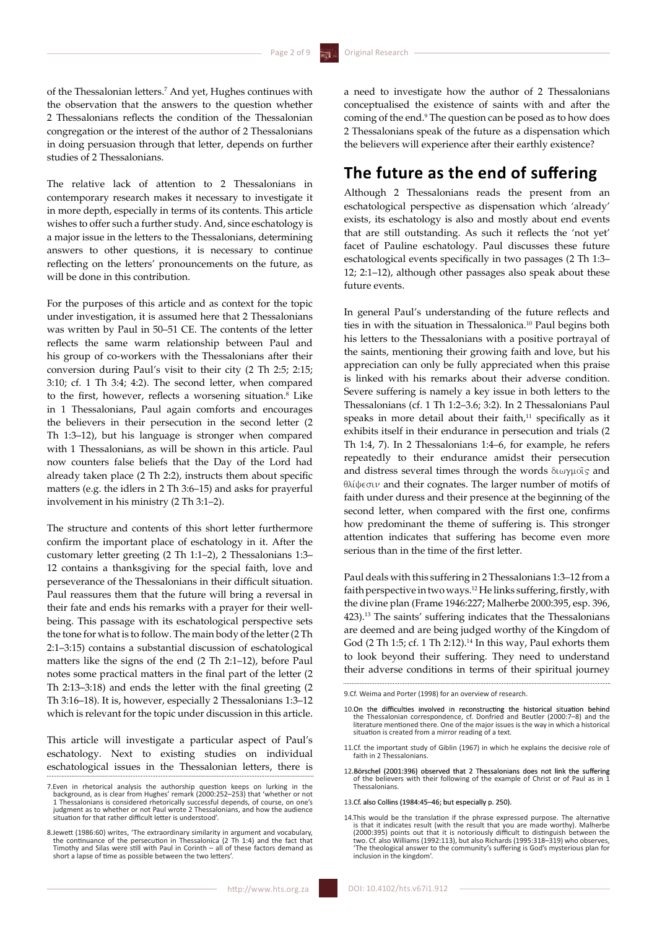of the Thessalonian letters.7 And yet, Hughes continues with the observation that the answers to the question whether 2 Thessalonians reflects the condition of the Thessalonian congregation or the interest of the author of 2 Thessalonians in doing persuasion through that letter, depends on further studies of 2 Thessalonians.

The relative lack of attention to 2 Thessalonians in contemporary research makes it necessary to investigate it in more depth, especially in terms of its contents. This article wishes to offer such a further study. And, since eschatology is a major issue in the letters to the Thessalonians, determining answers to other questions, it is necessary to continue reflecting on the letters' pronouncements on the future, as will be done in this contribution.

For the purposes of this article and as context for the topic under investigation, it is assumed here that 2 Thessalonians was written by Paul in 50–51 CE. The contents of the letter reflects the same warm relationship between Paul and his group of co-workers with the Thessalonians after their conversion during Paul's visit to their city (2 Th 2:5; 2:15; 3:10; cf. 1 Th 3:4; 4:2). The second letter, when compared to the first, however, reflects a worsening situation.<sup>8</sup> Like in 1 Thessalonians, Paul again comforts and encourages the believers in their persecution in the second letter (2 Th 1:3–12), but his language is stronger when compared with 1 Thessalonians, as will be shown in this article. Paul now counters false beliefs that the Day of the Lord had already taken place (2 Th 2:2), instructs them about specific matters (e.g. the idlers in 2 Th 3:6–15) and asks for prayerful involvement in his ministry (2 Th 3:1–2).

The structure and contents of this short letter furthermore confirm the important place of eschatology in it. After the customary letter greeting (2 Th 1:1–2), 2 Thessalonians 1:3– 12 contains a thanksgiving for the special faith, love and perseverance of the Thessalonians in their difficult situation. Paul reassures them that the future will bring a reversal in their fate and ends his remarks with a prayer for their wellbeing. This passage with its eschatological perspective sets the tone for what is to follow. The main body of the letter (2 Th 2:1–3:15) contains a substantial discussion of eschatological matters like the signs of the end (2 Th 2:1–12), before Paul notes some practical matters in the final part of the letter (2 Th 2:13–3:18) and ends the letter with the final greeting (2 Th 3:16–18). It is, however, especially 2 Thessalonians 1:3–12 which is relevant for the topic under discussion in this article.

This article will investigate a particular aspect of Paul's eschatology. Next to existing studies on individual eschatological issues in the Thessalonian letters, there is

http://www.hts.org.za

a need to investigate how the author of 2 Thessalonians conceptualised the existence of saints with and after the coming of the end.<sup>9</sup> The question can be posed as to how does 2 Thessalonians speak of the future as a dispensation which the believers will experience after their earthly existence?

# **The future as the end of suffering**

Although 2 Thessalonians reads the present from an eschatological perspective as dispensation which 'already' exists, its eschatology is also and mostly about end events that are still outstanding. As such it reflects the 'not yet' facet of Pauline eschatology. Paul discusses these future eschatological events specifically in two passages (2 Th 1:3– 12; 2:1–12), although other passages also speak about these future events.

In general Paul's understanding of the future reflects and ties in with the situation in Thessalonica.10 Paul begins both his letters to the Thessalonians with a positive portrayal of the saints, mentioning their growing faith and love, but his appreciation can only be fully appreciated when this praise is linked with his remarks about their adverse condition. Severe suffering is namely a key issue in both letters to the Thessalonians (cf. 1 Th 1:2–3.6; 3:2). In 2 Thessalonians Paul speaks in more detail about their faith.<sup>11</sup> specifically as it exhibits itself in their endurance in persecution and trials (2 Th 1:4, 7). In 2 Thessalonians 1:4–6, for example, he refers repeatedly to their endurance amidst their persecution and distress several times through the words  $\delta\omega\gamma\mu\sigma\delta s$  and  $\theta$ λίψεσιν and their cognates. The larger number of motifs of faith under duress and their presence at the beginning of the second letter, when compared with the first one, confirms how predominant the theme of suffering is. This stronger attention indicates that suffering has become even more serious than in the time of the first letter.

Paul deals with this suffering in 2 Thessalonians 1:3–12 from a faith perspective in two ways.12 He links suffering, firstly, with the divine plan (Frame 1946:227; Malherbe 2000:395, esp. 396, 423).13 The saints' suffering indicates that the Thessalonians are deemed and are being judged worthy of the Kingdom of God (2 Th 1:5; cf. 1 Th 2:12).<sup>14</sup> In this way, Paul exhorts them to look beyond their suffering. They need to understand their adverse conditions in terms of their spiritual journey

9.Cf. Weima and Porter (1998) for an overview of research.

- 10.0n the difficulties involved in reconstructing the historical situation behind<br>the Thessalonian correspondence, cf. Donfried and Beutler (2000:7-8) and the<br>literature mentioned there. One of the major issues is the way situation is created from a mirror reading of a text.
- 11.Cf. the important study of Giblin (1967) in which he explains the decisive role of faith in 2 Thessalonians.
- 12.Börschel (2001:396) observed that 2 Thessalonians does not link the suffering of the believers with their following of the example of Christ or of Paul as in 1 Thessalonians.

### .Cf. also Collins (1984:45–46; but especially p. 250).

14.This would be the translation if the phrase expressed purpose. The alternative is that it indicates result (with the result that you are made worthy). Malherbe<br>(2000:395) points out that it is notoriously difficult to distinguish between the<br>two. Cf. also Williams (1992:113), but also Richards (1995: 'The theological answer to the community's suffering is God's mysterious plan for inclusion in the kingdom'.

<sup>7.</sup> Even in rhetorical analysis the authorship question keeps on lurking in the background, as is clear from Hughes' remark (2000:252-253) that 'whether or not Thes 1 Thessalonians is considered rhetorically successful depe judgment as to whether or not Paul wrote 2 Thessalonians, and how the audience situation for that rather difficult letter is understood'.

<sup>8.</sup> lewett (1986:60) writes, 'The extraordinary similarity in argument and vocabulary, the continuance of the persecution in Thessalonica (2 Th 1:4) and the fact that Timothy and Silas were still with Paul in Corinth – all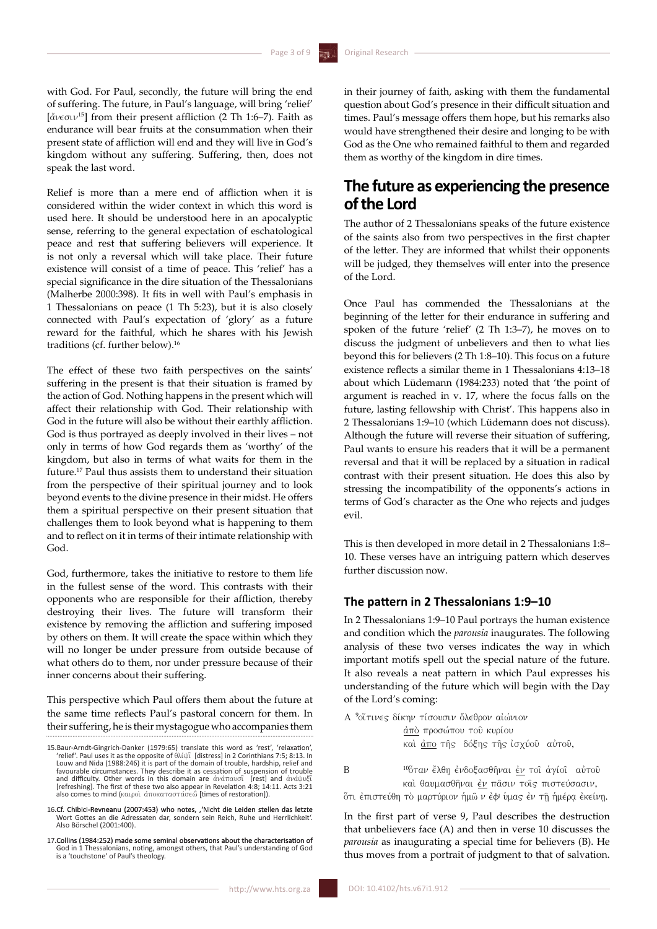with God. For Paul, secondly, the future will bring the end of suffering. The future, in Paul's language, will bring 'relief'  $\left[\frac{d}{dt}(\cos(\nu^{15}))\right]$  from their present affliction (2 Th 1:6–7). Faith as endurance will bear fruits at the consummation when their present state of affliction will end and they will live in God's kingdom without any suffering. Suffering, then, does not speak the last word.

Relief is more than a mere end of affliction when it is considered within the wider context in which this word is used here. It should be understood here in an apocalyptic sense, referring to the general expectation of eschatological peace and rest that suffering believers will experience. It is not only a reversal which will take place. Their future existence will consist of a time of peace. This 'relief' has a special significance in the dire situation of the Thessalonians (Malherbe 2000:398). It fits in well with Paul's emphasis in 1 Thessalonians on peace (1 Th 5:23), but it is also closely connected with Paul's expectation of 'glory' as a future reward for the faithful, which he shares with his Jewish traditions (cf. further below).

The effect of these two faith perspectives on the saints' suffering in the present is that their situation is framed by the action of God. Nothing happens in the present which will affect their relationship with God. Their relationship with God in the future will also be without their earthly affliction. God is thus portrayed as deeply involved in their lives – not only in terms of how God regards them as 'worthy' of the kingdom, but also in terms of what waits for them in the future.17 Paul thus assists them to understand their situation from the perspective of their spiritual journey and to look beyond events to the divine presence in their midst. He offers them a spiritual perspective on their present situation that challenges them to look beyond what is happening to them and to reflect on it in terms of their intimate relationship with God.

God, furthermore, takes the initiative to restore to them life in the fullest sense of the word. This contrasts with their opponents who are responsible for their affliction, thereby destroying their lives. The future will transform their existence by removing the affliction and suffering imposed by others on them. It will create the space within which they will no longer be under pressure from outside because of what others do to them, nor under pressure because of their inner concerns about their suffering.

This perspective which Paul offers them about the future at the same time reflects Paul's pastoral concern for them. In their suffering, he is their mystagogue who accompanies them

DOI: 10.4102/hts.v67i1.912

in their journey of faith, asking with them the fundamental question about God's presence in their difficult situation and times. Paul's message offers them hope, but his remarks also would have strengthened their desire and longing to be with God as the One who remained faithful to them and regarded them as worthy of the kingdom in dire times.

# **The future as experiencing the presence of the Lord**

The author of 2 Thessalonians speaks of the future existence of the saints also from two perspectives in the first chapter of the letter. They are informed that whilst their opponents will be judged, they themselves will enter into the presence of the Lord.

Once Paul has commended the Thessalonians at the beginning of the letter for their endurance in suffering and spoken of the future 'relief' (2 Th 1:3–7), he moves on to discuss the judgment of unbelievers and then to what lies beyond this for believers (2 Th 1:8–10). This focus on a future existence reflects a similar theme in 1 Thessalonians 4:13–18 about which Lüdemann (1984:233) noted that 'the point of argument is reached in v. 17, where the focus falls on the future, lasting fellowship with Christ'. This happens also in 2 Thessalonians 1:9–10 (which Lüdemann does not discuss). Although the future will reverse their situation of suffering, Paul wants to ensure his readers that it will be a permanent reversal and that it will be replaced by a situation in radical contrast with their present situation. He does this also by stressing the incompatibility of the opponents's actions in terms of God's character as the One who rejects and judges evil.

This is then developed in more detail in 2 Thessalonians 1:8– 10. These verses have an intriguing pattern which deserves further discussion now.

### **The pattern in 2 Thessalonians 1:9–10**

In 2 Thessalonians 1:9–10 Paul portrays the human existence and condition which the *parousia* inaugurates. The following analysis of these two verses indicates the way in which important motifs spell out the special nature of the future. It also reveals a neat pattern in which Paul expresses his understanding of the future which will begin with the Day of the Lord's coming:

|   | Α <sup>9</sup> οΐτινες δίκην τίσουσιν ὄλεθρον αἰώνιον                                                 |
|---|-------------------------------------------------------------------------------------------------------|
|   | άπό προσώπου του κυρίου                                                                               |
|   | καὶ <u>ἀπο</u> τῆς δόξης τῆς ἰσχύοῦ αὐτοῦ,                                                            |
| B | <sup>10</sup> ὅταν ἔλθη ἐνδοξασθῆναι ἐν τοῖ ἁγίοῖ αὐτοῦ<br>καὶ θαυμασθῆναι ἐν πᾶσιν τοῖς πιστεύσασιν. |
|   | ότι έπιστεύθη τὸ μαρτύριον ἡμῶ ν ἐφ ὑμας ἐν τῆ ἡμέρα ἐκείνη.                                          |

In the first part of verse 9, Paul describes the destruction that unbelievers face (A) and then in verse 10 discusses the *parousia* as inaugurating a special time for believers (B). He thus moves from a portrait of judgment to that of salvation.

<sup>15.</sup>Baur-Arndt-Gingrich-Danker (1979:65) translate this word as 'rest', 'relaxation', 'relief'. Paul uses it as the opposite of qlivyi~ [distress] in 2 Corinthians 7:5; 8:13. In Louw and Nida (1988:246) it is part of the domain of trouble, hardship, relief and favourable circumstances. They describe it as cessation of suspension of trouble and difficulty. Other words in this domain are ἀνάπαυσῖ [rest] and ἀνάψυξῖ<br>[refreshing]. The first of these two also appear in Revelation 4:8; 14:11. Acts 3:21<br>also comes to mind (καιροὶ ἀποκαταστάσεὧ [times of restoratio

<sup>.</sup>Cf. Chibici-Revneanu (2007:453) who notes, � Wort Gottes an die Adressaten dar, sondern sein Reich, Ruhe und Herrlichkeit'. Also Börschel (2001:400).

<sup>.</sup>Collins (1984:252) made some seminal observations about the characterisation of God in 1 Thessalonians, noting, amongst others, that Paul's understanding of God is a 'touchstone' of Paul's theology.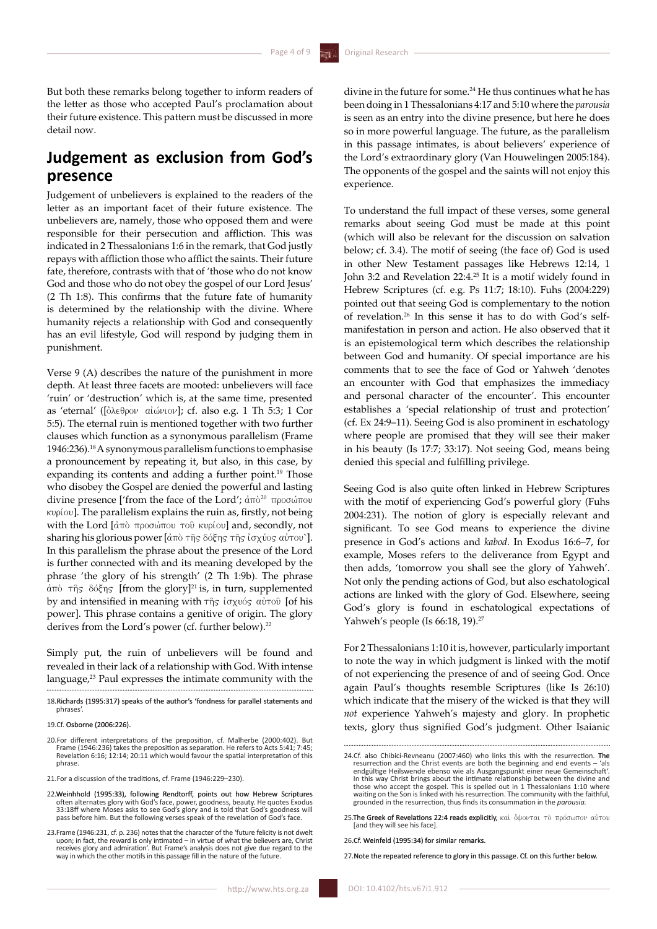But both these remarks belong together to inform readers of the letter as those who accepted Paul's proclamation about their future existence. This pattern must be discussed in more detail now.

# **Judgement as exclusion from God's presence**

Judgement of unbelievers is explained to the readers of the letter as an important facet of their future existence. The unbelievers are, namely, those who opposed them and were responsible for their persecution and affliction. This was indicated in 2 Thessalonians 1:6 in the remark, that God justly repays with affliction those who afflict the saints. Their future fate, therefore, contrasts with that of 'those who do not know God and those who do not obey the gospel of our Lord Jesus' (2 Th 1:8). This confirms that the future fate of humanity is determined by the relationship with the divine. Where humanity rejects a relationship with God and consequently has an evil lifestyle, God will respond by judging them in punishment.

Verse 9 (A) describes the nature of the punishment in more depth. At least three facets are mooted: unbelievers will face 'ruin' or 'destruction' which is, at the same time, presented as 'eternal' ([ὂλεθρον αἰώνιον]; cf. also e.g. 1 Th 5:3; 1 Cor 5:5). The eternal ruin is mentioned together with two further clauses which function as a synonymous parallelism (Frame 1946:236).<sup>18</sup> A synonymous parallelism functions to emphasise a pronouncement by repeating it, but also, in this case, by expanding its contents and adding a further point.<sup>19</sup> Those who disobey the Gospel are denied the powerful and lasting divine presence ['from the face of the Lord';  $\dot{a}\pi\dot{\sigma}^{20}$   $\pi\rho$ oo $\omega\pi\sigma\dot{\sigma}$ κυρίου]. The parallelism explains the ruin as, firstly, not being with the Lord  $\left[\right. d\uppi\right\rangle$   $\uppi$  $\rho$ 00 $\uppi\circ\uppi$   $\downarrow\circ\circ\circ$  kupiou] and, secondly, not sharing his glorious power  $\left[ d\pi\right)$  της δόξης της ίσχύος αύτου`]. In this parallelism the phrase about the presence of the Lord is further connected with and its meaning developed by the phrase 'the glory of his strength' (2 Th 1:9b). The phrase  $d\pi$ ò  $\tau$ ής δόξης [from the glory]<sup>21</sup> is, in turn, supplemented by and intensified in meaning with της ισχυός αύτου [of his power]. This phrase contains a genitive of origin. The glory derives from the Lord's power (cf. further below).

Simply put, the ruin of unbelievers will be found and revealed in their lack of a relationship with God. With intense language,<sup>23</sup> Paul expresses the intimate community with the divine in the future for some.<sup>24</sup> He thus continues what he has been doing in 1 Thessalonians 4:17 and 5:10 where the *parousia* is seen as an entry into the divine presence, but here he does so in more powerful language. The future, as the parallelism in this passage intimates, is about believers' experience of the Lord's extraordinary glory (Van Houwelingen 2005:184). The opponents of the gospel and the saints will not enjoy this experience.

To understand the full impact of these verses, some general remarks about seeing God must be made at this point (which will also be relevant for the discussion on salvation below; cf. 3.4). The motif of seeing (the face of) God is used in other New Testament passages like Hebrews 12:14, 1 John 3:2 and Revelation 22:4.25 It is a motif widely found in Hebrew Scriptures (cf. e.g. Ps 11:7; 18:10). Fuhs (2004:229) pointed out that seeing God is complementary to the notion of revelation.26 In this sense it has to do with God's selfmanifestation in person and action. He also observed that it is an epistemological term which describes the relationship between God and humanity. Of special importance are his comments that to see the face of God or Yahweh 'denotes an encounter with God that emphasizes the immediacy and personal character of the encounter'. This encounter establishes a 'special relationship of trust and protection' (cf. Ex 24:9–11). Seeing God is also prominent in eschatology where people are promised that they will see their maker in his beauty (Is 17:7; 33:17). Not seeing God, means being denied this special and fulfilling privilege.

Seeing God is also quite often linked in Hebrew Scriptures with the motif of experiencing God's powerful glory (Fuhs 2004:231). The notion of glory is especially relevant and significant. To see God means to experience the divine presence in God's actions and *kabod.* In Exodus 16:6–7, for example, Moses refers to the deliverance from Egypt and then adds, 'tomorrow you shall see the glory of Yahweh'. Not only the pending actions of God, but also eschatological actions are linked with the glory of God. Elsewhere, seeing God's glory is found in eschatological expectations of Yahweh's people (Is 66:18, 19).

For 2 Thessalonians 1:10 it is, however, particularly important to note the way in which judgment is linked with the motif of not experiencing the presence of and of seeing God. Once again Paul's thoughts resemble Scriptures (like Is 26:10) which indicate that the misery of the wicked is that they will *not* experience Yahweh's majesty and glory. In prophetic texts, glory thus signified God's judgment. Other Isaianic

27. Note the repeated reference to glory in this passage. Cf. on this further below

<sup>18.</sup> Richards (1995:317) speaks of the author's 'fondness for parallel statements and phrases'.

<sup>19.</sup>Cf. Osborne (2006:226).

<sup>20.</sup>For different interpretations of the preposition, cf. Malherbe (2000:402). But Frame (1946:236) takes the preposition as separation. He refers to Acts 5:41; 7:45; Revelation 6:16; 12:14; 20:11 which would favour the spatial interpretation of this phrase.

<sup>21.</sup>For a discussion of the traditions, cf. Frame (1946:229–230).

Weinhhold (1995:33), following Rendtorff, points out how Hebrew Scriptures<br>often alternates glory with God's face, power, goodness, beauty. He quotes Exodus<br>33:18ff where Moses asks to see God's glory and is told that God'

<sup>23.</sup>Frame (1946:231, cf. p. 236) notes that the character of the 'future felicity is not dwelt upon; in fact, the reward is only intimated – in virtue of what the believers are, Christ<br>receives glory and admiration'. But Frame's analysis does not give due regard to the<br>way in which the other motifs in this passage f

<sup>24.</sup>Cf. also Chibici-Revneanu (2007:460) who links this with the resurrection. The resurrection and the Christ events are both the beginning and end events – 'als endgültige Heilswende ebenso wie als Ausgangspunkt einer neue Gemeinschaft'. In this way Christ brings about the intimate relationship between the divine and<br>those who accept the gospel. This is spelled out in 1 Thessalonians 1:10 where<br>waiting on the Son is linked with his resurrection. The commun grounded in the resurrection, thus finds its consummation in the *parousia.* 

<sup>25.</sup>The Greek of Revelations 22:4 reads explicitly,  $kab$ ,  $\delta$  $\delta$  $\delta v$  $\tau$  $a$ ,  $\tau$  $\delta$ ,  $\tau$  $\delta \delta \delta \omega$  $\tau$  $\delta v$ ,  $a\dot{v}$  $\tau$  $\delta v$ [and they will see his face].

<sup>.</sup>Cf. Weinfeld (1995:34) for similar remarks.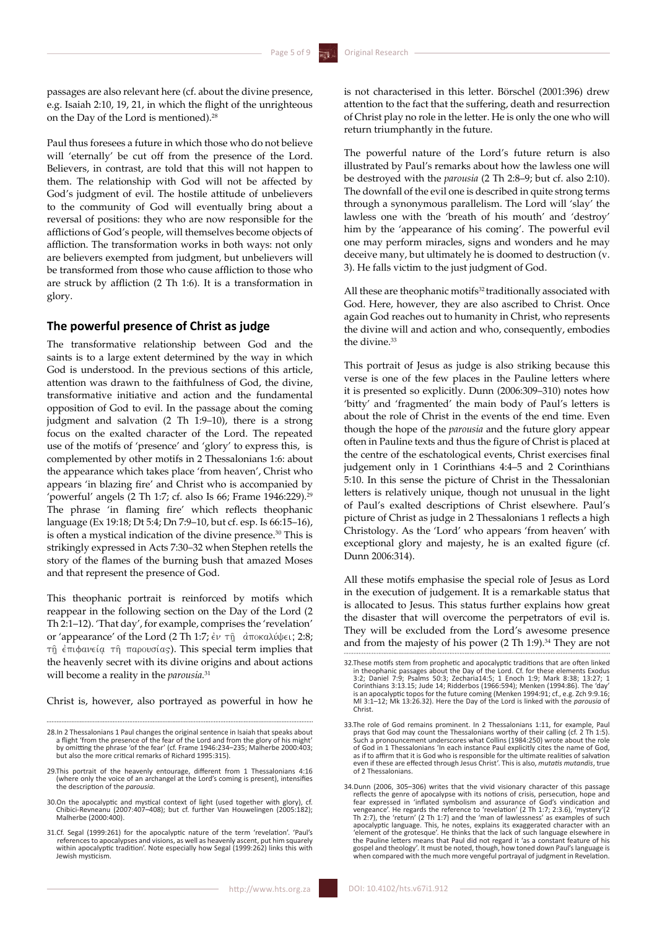passages are also relevant here (cf. about the divine presence, e.g. Isaiah 2:10, 19, 21, in which the flight of the unrighteous on the Day of the Lord is mentioned).<sup>28</sup>

Paul thus foresees a future in which those who do not believe will 'eternally' be cut off from the presence of the Lord. Believers, in contrast, are told that this will not happen to them. The relationship with God will not be affected by God's judgment of evil. The hostile attitude of unbelievers to the community of God will eventually bring about a reversal of positions: they who are now responsible for the afflictions of God's people, will themselves become objects of affliction. The transformation works in both ways: not only are believers exempted from judgment, but unbelievers will be transformed from those who cause affliction to those who are struck by affliction (2 Th 1:6). It is a transformation in glory.

### **The powerful presence of Christ as judge**

The transformative relationship between God and the saints is to a large extent determined by the way in which God is understood. In the previous sections of this article, attention was drawn to the faithfulness of God, the divine, transformative initiative and action and the fundamental opposition of God to evil. In the passage about the coming judgment and salvation (2 Th 1:9–10), there is a strong focus on the exalted character of the Lord. The repeated use of the motifs of 'presence' and 'glory' to express this, is complemented by other motifs in 2 Thessalonians 1:6: about the appearance which takes place 'from heaven', Christ who appears 'in blazing fire' and Christ who is accompanied by 'powerful' angels (2 Th 1:7; cf. also Is 66; Frame  $1946:229$ ).<sup>29</sup> The phrase 'in flaming fire' which reflects theophanic language (Ex 19:18; Dt 5:4; Dn 7:9–10, but cf. esp. Is 66:15–16), is often a mystical indication of the divine presence.30 This is strikingly expressed in Acts 7:30–32 when Stephen retells the story of the flames of the burning bush that amazed Moses and that represent the presence of God.

This theophanic portrait is reinforced by motifs which reappear in the following section on the Day of the Lord (2 Th 2:1–12). 'That day', for example, comprises the 'revelation' or 'appearance' of the Lord (2 Th 1:7; έν τη άποκαλύψει; 2:8;  $τ<sub>η</sub>$  έπιφανεία τη παρουσίας). This special term implies that the heavenly secret with its divine origins and about actions will become a reality in the *parousia.*<sup>31</sup>

Christ is, however, also portrayed as powerful in how he

is not characterised in this letter. Börschel (2001:396) drew attention to the fact that the suffering, death and resurrection of Christ play no role in the letter. He is only the one who will return triumphantly in the future.

The powerful nature of the Lord's future return is also illustrated by Paul's remarks about how the lawless one will be destroyed with the *parousia* (2 Th 2:8–9; but cf. also 2:10). The downfall of the evil one is described in quite strong terms through a synonymous parallelism. The Lord will 'slay' the lawless one with the 'breath of his mouth' and 'destroy' him by the 'appearance of his coming'. The powerful evil one may perform miracles, signs and wonders and he may deceive many, but ultimately he is doomed to destruction (v. 3). He falls victim to the just judgment of God.

All these are theophanic motifs<sup>32</sup> traditionally associated with God. Here, however, they are also ascribed to Christ. Once again God reaches out to humanity in Christ, who represents the divine will and action and who, consequently, embodies the divine.<sup>33</sup>

This portrait of Jesus as judge is also striking because this verse is one of the few places in the Pauline letters where it is presented so explicitly. Dunn (2006:309–310) notes how 'bitty' and 'fragmented' the main body of Paul's letters is about the role of Christ in the events of the end time. Even though the hope of the *parousia* and the future glory appear often in Pauline texts and thus the figure of Christ is placed at the centre of the eschatological events, Christ exercises final judgement only in 1 Corinthians 4:4–5 and 2 Corinthians 5:10. In this sense the picture of Christ in the Thessalonian letters is relatively unique, though not unusual in the light of Paul's exalted descriptions of Christ elsewhere. Paul's picture of Christ as judge in 2 Thessalonians 1 reflects a high Christology. As the 'Lord' who appears 'from heaven' with exceptional glory and majesty, he is an exalted figure (cf. Dunn 2006:314).

All these motifs emphasise the special role of Jesus as Lord in the execution of judgement. It is a remarkable status that is allocated to Jesus. This status further explains how great the disaster that will overcome the perpetrators of evil is. They will be excluded from the Lord's awesome presence and from the majesty of his power (2 Th 1:9).<sup>34</sup> They are not

<sup>28.</sup>In 2 Thessalonians 1 Paul changes the original sentence in Isaiah that speaks about<br>a flight 'from the presence of the fear of the Lord and from the plory of his might<br>y omitting the phrase 'of the fear' (cf. Frame 1946 but also the more critical remarks of Richard 1995:315).

<sup>29.</sup>This portrait of the heavenly entourage, different from 1 Thessalonians 4:16 (where only the voice of an archangel at the Lord's coming is present), intensifies the description of the *parousia*.

<sup>30.</sup>On the apocalyptic and mystical context of light (used together with glory), cf. Chibici-Revneanu (2007:407–408); but cf. further Van Houwelingen (2005:182); Malherbe (2000:400).

<sup>31.</sup>Cf. Segal (1999:261) for the apocalyptic nature of the term 'revelation'. 'Paul's references to apocalypses and visions, as well as heavenly ascent, put him squarely within apocalyptic tradition'. Note especially how Segal (1999:262) links this with Jewish mysticism.

<sup>32.</sup>These motifs stem from prophetic and apocalyptic traditions that are often linked in theophanic passages about the Day of the Lord. Cf. for these elements Exodus 3:2; Daniel 7:9; Psalms 50:3; Zecharia14:5; 1 Enoch 1:9; Mark 8:38; 13:27; 1 Corinthians 3:13.15; Jude 14; Ridderbos (1966:594); Menken (1994:86). The 'day'<br>is an apocalyptic topos for the future coming (Menken 1994:91; cf., e.g. Zch 9:9.16;<br>MI 3:1–12; Mk 13:26.32). Here the Day of the Lord is link Christ.

<sup>33.</sup>The role of God remains prominent. In 2 Thessalonians 1:11, for example, Paul prays that God may count the Thessalonians worthy of their calling (cf. 2 Th 1:5). Such a pronouncement underscores what Collins (1984:250) wrote about the role of God in 1 Thessalonians 'In each instance Paul explicitly cites the name of God, as if to affirm that it is God who is responsible for the ultimate realities of salvation even if these are effected through Jesus Christ'. This is also, *mutatis mutandis*, true of 2 Thessalonians.

<sup>34.</sup>Dunn (2006, 305–306) writes that the vivid visionary character of this passage reflects the genre of apocalypse with its notions of crisis, persecution, hope and fear expressed in 'inflated symbolism and assurance of God's vindication and vengeance'. He regards the reference to 'revelation' (2 Th 1:7; 2:3.6), 'mystery'(2 Th 2:7), the 'return' (2 Th 1:7) and the 'man of lawlessness' as examples of such apocalyptic language. This, he notes, explains its exaggerated character with an 'element of the grotesque'. He thinks that the lack of such language elsewhere in the Pauline letters means that Paul did not regard it 'as a constant feature of his gospel and theology'. It must be noted, though, how toned down Paul's language is when compared with the much more vengeful portrayal of judgment in Revelation.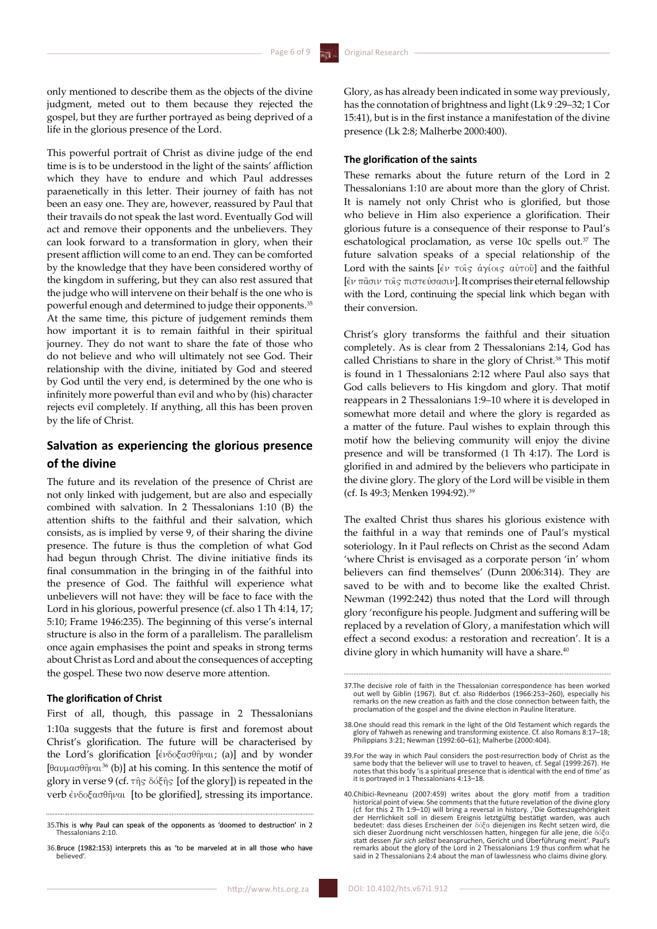only mentioned to describe them as the objects of the divine judgment, meted out to them because they rejected the gospel, but they are further portrayed as being deprived of a life in the glorious presence of the Lord.

This powerful portrait of Christ as divine judge of the end time is is to be understood in the light of the saints' affliction which they have to endure and which Paul addresses paraenetically in this letter. Their journey of faith has not been an easy one. They are, however, reassured by Paul that their travails do not speak the last word. Eventually God will act and remove their opponents and the unbelievers. They can look forward to a transformation in glory, when their present affliction will come to an end. They can be comforted by the knowledge that they have been considered worthy of the kingdom in suffering, but they can also rest assured that the judge who will intervene on their behalf is the one who is powerful enough and determined to judge their opponents.35 At the same time, this picture of judgement reminds them how important it is to remain faithful in their spiritual journey. They do not want to share the fate of those who do not believe and who will ultimately not see God. Their relationship with the divine, initiated by God and steered by God until the very end, is determined by the one who is infinitely more powerful than evil and who by (his) character rejects evil completely. If anything, all this has been proven by the life of Christ.

### **Salvation as experiencing the glorious presence of the divine**

The future and its revelation of the presence of Christ are not only linked with judgement, but are also and especially combined with salvation. In 2 Thessalonians 1:10 (B) the attention shifts to the faithful and their salvation, which consists, as is implied by verse 9, of their sharing the divine presence. The future is thus the completion of what God had begun through Christ. The divine initiative finds its final consummation in the bringing in of the faithful into the presence of God. The faithful will experience what unbelievers will not have: they will be face to face with the Lord in his glorious, powerful presence (cf. also 1 Th 4:14, 17; 5:10; Frame 1946:235). The beginning of this verse's internal structure is also in the form of a parallelism. The parallelism once again emphasises the point and speaks in strong terms about Christ as Lord and about the consequences of accepting the gospel. These two now deserve more attention.

### **The glorification of Christ**

First of all, though, this passage in 2 Thessalonians 1:10a suggests that the future is first and foremost about Christ's glorification. The future will be characterised by the Lord's glorification  $\int \phi \delta \phi \phi d\theta$  (a)] and by wonder [ $\theta$ avµa $\sigma$  $\theta$  $\hat{\eta}$ ναι<sup>36</sup> (b)] at his coming. In this sentence the motif of glory in verse 9 (cf.  $\tau$  $\hat{\eta}$ s  $\delta\acute{\delta}\hat{\xi}$  $\hat{\eta}$ s [of the glory]) is repeated in the verb  $\epsilon v \delta o \xi a \sigma \theta \hat{\eta} \nu a$  [to be glorified], stressing its importance.

Glory, as has already been indicated in some way previously, has the connotation of brightness and light (Lk 9 :29–32; 1 Cor 15:41), but is in the first instance a manifestation of the divine presence (Lk 2:8; Malherbe 2000:400).

### **The glorification of the saints**

These remarks about the future return of the Lord in 2 Thessalonians 1:10 are about more than the glory of Christ. It is namely not only Christ who is glorified, but those who believe in Him also experience a glorification. Their glorious future is a consequence of their response to Paul's eschatological proclamation, as verse 10c spells out.<sup>37</sup> The future salvation speaks of a special relationship of the Lord with the saints  $\begin{bmatrix} \frac{\partial v}{\partial x} & \frac{\partial v}{\partial y} \end{bmatrix}$  and the faithful [έν πασιν τοις πιστεύσασιν]. It comprises their eternal fellowship with the Lord, continuing the special link which began with their conversion.

Christ's glory transforms the faithful and their situation completely. As is clear from 2 Thessalonians 2:14, God has called Christians to share in the glory of Christ.<sup>38</sup> This motif is found in 1 Thessalonians 2:12 where Paul also says that God calls believers to His kingdom and glory. That motif reappears in 2 Thessalonians 1:9–10 where it is developed in somewhat more detail and where the glory is regarded as a matter of the future. Paul wishes to explain through this motif how the believing community will enjoy the divine presence and will be transformed (1 Th 4:17). The Lord is glorified in and admired by the believers who participate in the divine glory. The glory of the Lord will be visible in them (cf. Is 49:3; Menken 1994:92).39

The exalted Christ thus shares his glorious existence with the faithful in a way that reminds one of Paul's mystical soteriology. In it Paul reflects on Christ as the second Adam 'where Christ is envisaged as a corporate person 'in' whom believers can find themselves' (Dunn 2006:314). They are saved to be with and to become like the exalted Christ. Newman (1992:242) thus noted that the Lord will through glory 'reconfigure his people. Judgment and suffering will be replaced by a revelation of Glory, a manifestation which will effect a second exodus: a restoration and recreation'. It is a divine glory in which humanity will have a share.<sup>40</sup>

<sup>.</sup>This is why Paul can speak of the opponents as 'doomed to destruction' in 2 Thessalonians 2:10.

<sup>36.</sup> Bruce (1982:153) interprets this as 'to be marveled at in all those who have believed'.

<sup>37.</sup>The decisive role of faith in the Thessalonian correspondence has been worked out well by Giblin (1967). But cf. also Ridderbos (1966:253–260), especially his remarks on the new creation as faith and the close connection between faith, the proclamation of the gospel and the divine election in Pauline literature.

<sup>38.</sup>One should read this remark in the light of the Old Testament which regards the glory of Yahweh as renewing and transforming existence. Cf. also Romans 8:17–18; Philippians 3:21; Newman (1992:60–61); Malherbe (2000:404).

<sup>39.</sup>For the way in which Paul considers the post-resurrection body of Christ as the same body that the believer will use to travel to heaven, cf. Segal (1999:267). He notes that this body 'is a spiritual presence that is identical with the end of time' as it is portrayed in 1 Thessalonians 4:13–18.

<sup>40.</sup>Chibici-Revneanu (2007:459) writes about the glory motif from a tradition historical point of view. She comments that the future revelation of the divine glory (cf. for this 2 Th 1:9–10) will bring a reversal in history. ''Die Gotteszugehörigkeit der Herrlichkeit soll in diesem Ereignis letztgültig bestätigt warden, was auch bedeutet: dass dieses Erscheinen der δόξα diejenigen ins Recht setzen wird, die<br>sich dieser Zuordnung nicht verschlossen hatten, hingegen für alle jene, die δόξα<br>statt dessen *für sich selbst* beanspruchen, Gericht und Üb remarks about the glory of the Lord in 2 Thessalonians 1:9 thus confirm what he said in 2 Thessalonians 2:4 about the man of lawlessness who claims divine glory.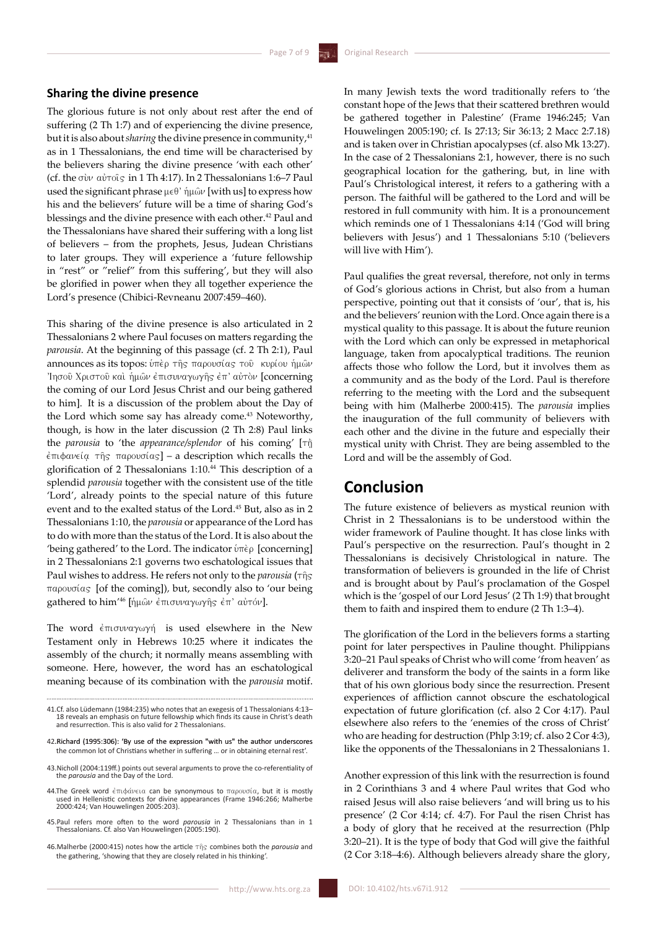### **Sharing the divine presence**

The glorious future is not only about rest after the end of suffering (2 Th 1:7) and of experiencing the divine presence, but it is also about *sharing* the divine presence in community,<sup>41</sup> as in 1 Thessalonians, the end time will be characterised by the believers sharing the divine presence 'with each other' (cf. the  $\sigma$ iv  $\alpha$ i $\sigma$ ics in 1 Th 4:17). In 2 Thessalonians 1:6–7 Paul used the significant phrase  $\mu \in \theta$  ' ή $\mu \hat{\omega}$  [with us] to express how his and the believers' future will be a time of sharing God's blessings and the divine presence with each other.<sup>42</sup> Paul and the Thessalonians have shared their suffering with a long list of believers – from the prophets, Jesus, Judean Christians to later groups. They will experience a 'future fellowship in "rest" or "relief" from this suffering', but they will also be glorified in power when they all together experience the Lord's presence (Chibici-Revneanu 2007:459–460).

This sharing of the divine presence is also articulated in 2 Thessalonians 2 where Paul focuses on matters regarding the *parousia*. At the beginning of this passage (cf. 2 Th 2:1), Paul announces as its topos: ύπερ της παρουσίας του κυρίου ήμων Inσού Χριστού και ήμων έπισυναγωγής έπ' αύτον [concerning the coming of our Lord Jesus Christ and our being gathered to him]. It is a discussion of the problem about the Day of the Lord which some say has already come.<sup>43</sup> Noteworthy, though, is how in the later discussion (2 Th 2:8) Paul links the *parousia* to 'the *appearance/splendor* of his coming' [ $\tau$ ñ]  $\epsilon$ πιφανεία της παρουσίας] – a description which recalls the glorification of 2 Thessalonians 1:10.44 This description of a splendid *parousia* together with the consistent use of the title 'Lord', already points to the special nature of this future event and to the exalted status of the Lord.45 But, also as in 2 Thessalonians 1:10, the *parousia* or appearance of the Lord has to do with more than the status of the Lord. It is also about the 'being gathered' to the Lord. The indicator  $\hat{v}$ <sup>n</sup> $\hat{\epsilon}$ <sup>p</sup> [concerning] in 2 Thessalonians 2:1 governs two eschatological issues that Paul wishes to address. He refers not only to the *parousia* ( $\tau$ *n* $\in$ parousiva [of the coming])*,* but, secondly also to 'our being gathered to him<sup>'46</sup> [ήμων έπισυναγωγής έπ' αὐτόν].

The word  $\epsilon \pi \sigma \sigma \nu \alpha \gamma \omega \gamma \gamma$  is used elsewhere in the New Testament only in Hebrews 10:25 where it indicates the assembly of the church; it normally means assembling with someone. Here, however, the word has an eschatological meaning because of its combination with the *parousia* motif.

- 44.The Greek word έπιφάνεια can be synonymous to παρουσία, but it is mostly used in Hellenistic contexts for divine appearances (Frame 1946:266; Malherbe 2000:424; Van Houwelingen 2005:203).
- 45.Paul refers more often to the word *parousia* in 2 Thessalonians than in 1 Thessalonians. Cf. also Van Houwelingen (2005:190).
- 46.Malherbe (2000:415) notes how the article th combines both the *parousia* and the gathering, 'showing that they are closely related in his thinking'.

In many Jewish texts the word traditionally refers to 'the constant hope of the Jews that their scattered brethren would be gathered together in Palestine' (Frame 1946:245; Van Houwelingen 2005:190; cf. Is 27:13; Sir 36:13; 2 Macc 2:7.18) and is taken over in Christian apocalypses (cf. also Mk 13:27). In the case of 2 Thessalonians 2:1, however, there is no such geographical location for the gathering, but, in line with Paul's Christological interest, it refers to a gathering with a person. The faithful will be gathered to the Lord and will be restored in full community with him. It is a pronouncement which reminds one of 1 Thessalonians 4:14 ('God will bring believers with Jesus') and 1 Thessalonians 5:10 ('believers will live with Him').

Paul qualifies the great reversal, therefore, not only in terms of God's glorious actions in Christ, but also from a human perspective, pointing out that it consists of 'our', that is, his and the believers' reunion with the Lord. Once again there is a mystical quality to this passage. It is about the future reunion with the Lord which can only be expressed in metaphorical language, taken from apocalyptical traditions. The reunion affects those who follow the Lord, but it involves them as a community and as the body of the Lord. Paul is therefore referring to the meeting with the Lord and the subsequent being with him (Malherbe 2000:415). The *parousia* implies the inauguration of the full community of believers with each other and the divine in the future and especially their mystical unity with Christ. They are being assembled to the Lord and will be the assembly of God.

## **Conclusion**

The future existence of believers as mystical reunion with Christ in 2 Thessalonians is to be understood within the wider framework of Pauline thought. It has close links with Paul's perspective on the resurrection. Paul's thought in 2 Thessalonians is decisively Christological in nature. The transformation of believers is grounded in the life of Christ and is brought about by Paul's proclamation of the Gospel which is the 'gospel of our Lord Jesus' (2 Th 1:9) that brought them to faith and inspired them to endure (2 Th 1:3–4).

The glorification of the Lord in the believers forms a starting point for later perspectives in Pauline thought. Philippians 3:20–21 Paul speaks of Christ who will come 'from heaven' as deliverer and transform the body of the saints in a form like that of his own glorious body since the resurrection. Present experiences of affliction cannot obscure the eschatological expectation of future glorification (cf. also 2 Cor 4:17). Paul elsewhere also refers to the 'enemies of the cross of Christ' who are heading for destruction (Phlp 3:19; cf. also 2 Cor 4:3), like the opponents of the Thessalonians in 2 Thessalonians 1.

Another expression of this link with the resurrection is found in 2 Corinthians 3 and 4 where Paul writes that God who raised Jesus will also raise believers 'and will bring us to his presence' (2 Cor 4:14; cf. 4:7). For Paul the risen Christ has a body of glory that he received at the resurrection (Phlp 3:20–21). It is the type of body that God will give the faithful (2 Cor 3:18–4:6). Although believers already share the glory,

<sup>41.</sup>Cf. also Lüdemann (1984:235) who notes that an exegesis of 1 Thessalonians 4:13– 18 reveals an emphasis on future fellowship which finds its cause in Christ's death and resurrection. This is also valid for 2 Thessalonians.

<sup>42.</sup> Richard (1995:306): 'By use of the expression "with us" the author underscores the common lot of Christians whether in suffering … or in obtaining eternal rest'.

<sup>43.</sup>Nicholl (2004:119ff.) points out several arguments to prove the co-referentiality of the *parousia* and the Day of the Lord.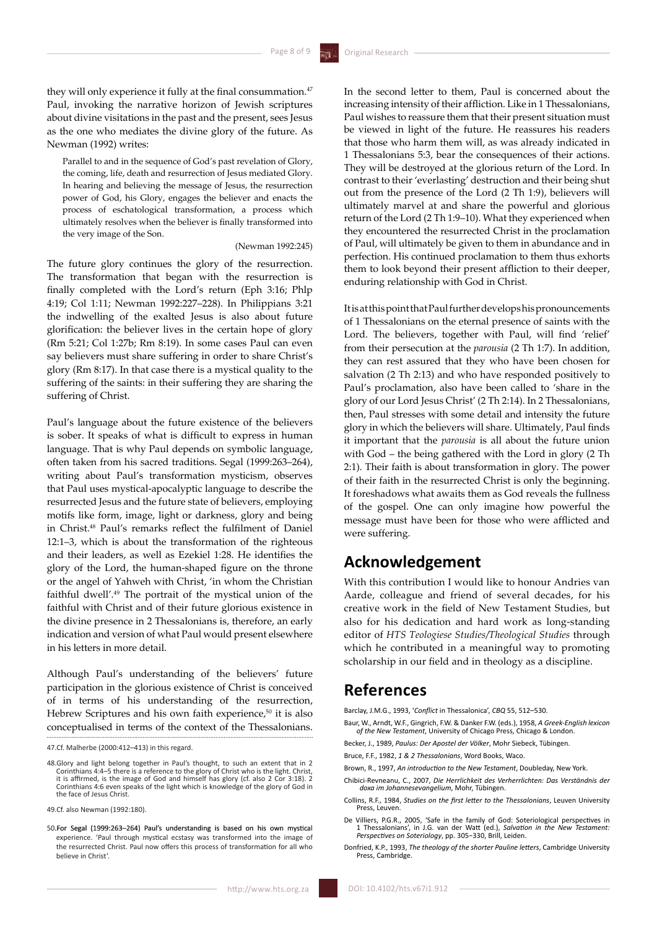they will only experience it fully at the final consummation.<sup>47</sup> Paul, invoking the narrative horizon of Jewish scriptures about divine visitations in the past and the present, sees Jesus as the one who mediates the divine glory of the future. As Newman (1992) writes:

Parallel to and in the sequence of God's past revelation of Glory, the coming, life, death and resurrection of Jesus mediated Glory. In hearing and believing the message of Jesus, the resurrection power of God, his Glory, engages the believer and enacts the process of eschatological transformation, a process which ultimately resolves when the believer is finally transformed into the very image of the Son.

### (Newman 1992:245)

The future glory continues the glory of the resurrection. The transformation that began with the resurrection is finally completed with the Lord's return (Eph 3:16; Phlp 4:19; Col 1:11; Newman 1992:227–228). In Philippians 3:21 the indwelling of the exalted Jesus is also about future glorification: the believer lives in the certain hope of glory (Rm 5:21; Col 1:27b; Rm 8:19). In some cases Paul can even say believers must share suffering in order to share Christ's glory (Rm 8:17). In that case there is a mystical quality to the suffering of the saints: in their suffering they are sharing the suffering of Christ.

Paul's language about the future existence of the believers is sober. It speaks of what is difficult to express in human language. That is why Paul depends on symbolic language, often taken from his sacred traditions. Segal (1999:263–264), writing about Paul's transformation mysticism, observes that Paul uses mystical-apocalyptic language to describe the resurrected Jesus and the future state of believers, employing motifs like form, image, light or darkness, glory and being in Christ.48 Paul's remarks reflect the fulfilment of Daniel 12:1–3, which is about the transformation of the righteous and their leaders, as well as Ezekiel 1:28. He identifies the glory of the Lord, the human-shaped figure on the throne or the angel of Yahweh with Christ, 'in whom the Christian faithful dwell'.49 The portrait of the mystical union of the faithful with Christ and of their future glorious existence in the divine presence in 2 Thessalonians is, therefore, an early indication and version of what Paul would present elsewhere in his letters in more detail.

Although Paul's understanding of the believers' future participation in the glorious existence of Christ is conceived of in terms of his understanding of the resurrection, Hebrew Scriptures and his own faith experience, $50$  it is also conceptualised in terms of the context of the Thessalonians. In the second letter to them, Paul is concerned about the increasing intensity of their affliction. Like in 1 Thessalonians, Paul wishes to reassure them that their present situation must be viewed in light of the future. He reassures his readers that those who harm them will, as was already indicated in 1 Thessalonians 5:3, bear the consequences of their actions. They will be destroyed at the glorious return of the Lord. In contrast to their 'everlasting' destruction and their being shut out from the presence of the Lord (2 Th 1:9), believers will ultimately marvel at and share the powerful and glorious return of the Lord (2 Th 1:9–10). What they experienced when they encountered the resurrected Christ in the proclamation of Paul, will ultimately be given to them in abundance and in perfection. His continued proclamation to them thus exhorts them to look beyond their present affliction to their deeper, enduring relationship with God in Christ.

It is at this point that Paul further develops his pronouncements of 1 Thessalonians on the eternal presence of saints with the Lord. The believers, together with Paul, will find 'relief' from their persecution at the *parousia* (2 Th 1:7). In addition, they can rest assured that they who have been chosen for salvation (2 Th 2:13) and who have responded positively to Paul's proclamation, also have been called to 'share in the glory of our Lord Jesus Christ' (2 Th 2:14). In 2 Thessalonians, then, Paul stresses with some detail and intensity the future glory in which the believers will share. Ultimately, Paul finds it important that the *parousia* is all about the future union with God – the being gathered with the Lord in glory (2 Th 2:1). Their faith is about transformation in glory. The power of their faith in the resurrected Christ is only the beginning. It foreshadows what awaits them as God reveals the fullness of the gospel. One can only imagine how powerful the message must have been for those who were afflicted and were suffering.

# **Acknowledgement**

With this contribution I would like to honour Andries van Aarde, colleague and friend of several decades, for his creative work in the field of New Testament Studies, but also for his dedication and hard work as long-standing editor of *HTS Teologiese Studies/Theological Studies* through which he contributed in a meaningful way to promoting scholarship in our field and in theology as a discipline.

# **References**

Barclay, J.M.G., 1993, '*Conflict* in Thessalonica', *CBQ* 55, 512–530.

- Baur, W., Arndt, W.F., Gingrich, F.W. & Danker F.W. (eds.), 1958, *A Greek-English lexicon of the New Testament*, University of Chicago Press, Chicago & London.
- Becker, J., 1989, *Paulus: Der Apostel der Völker*, Mohr Siebeck, Tübingen.
- Bruce, F.F., 1982, *1 & 2 Thessalonians*, Word Books, Waco.
- Brown, R., 1997, *An introduction to the New Testament*, Doubleday, New York.
- Chibici-Revneanu, C., 2007, *Die Herrlichkeit des Verherrlichten: Das Verständnis der doxa im Johannesevangelium*, Mohr, Tübingen.
- Collins, R.F., 1984, *Studies on the first letter to the Thessalonians*, Leuven University Press, Leuven.
- De Villiers, P.G.R., 2005, 'Safe in the family of God: Soteriological perspectives in 1 Thessalonians', in J.G. van der Watt (ed.), *Salvation in the New Testament: Perspectives on Soteriology*, pp. 305−330, Brill, Leiden.
- Donfried, K.P., 1993, *The theology of the shorter Pauline letters*, Cambridge University Press, Cambridge.

<sup>47.</sup>Cf. Malherbe (2000:412–413) in this regard.

<sup>48.</sup>Glory and light belong together in Paul's thought, to such an extent that in 2 Corinthians 4:4–5 there is a reference to the glory of Christ who is the light. Christ, it is affirmed, is the image of God and himself has glory (cf. also 2 Cor 3:18). 2 Corinthians 4:6 even speaks of the light which is knowledge of the glory of God in the face of Jesus Christ.

<sup>49.</sup>Cf. also Newman (1992:180).

<sup>.</sup>For Segal (1999:263–264) Paul's understanding is based on his own mystical experience. 'Paul through mystical ecstasy was transformed into the image of the resurrected Christ. Paul now offers this process of transformation for all who believe in Christ'.